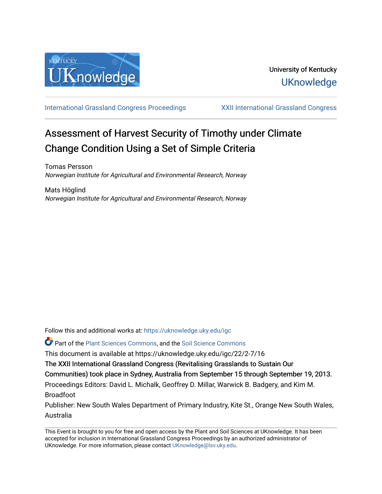

[International Grassland Congress Proceedings](https://uknowledge.uky.edu/igc) [XXII International Grassland Congress](https://uknowledge.uky.edu/igc/22) 

# Assessment of Harvest Security of Timothy under Climate Change Condition Using a Set of Simple Criteria

Tomas Persson Norwegian Institute for Agricultural and Environmental Research, Norway

Mats Höglind Norwegian Institute for Agricultural and Environmental Research, Norway

Follow this and additional works at: [https://uknowledge.uky.edu/igc](https://uknowledge.uky.edu/igc?utm_source=uknowledge.uky.edu%2Figc%2F22%2F2-7%2F16&utm_medium=PDF&utm_campaign=PDFCoverPages) 

**P** Part of the [Plant Sciences Commons](http://network.bepress.com/hgg/discipline/102?utm_source=uknowledge.uky.edu%2Figc%2F22%2F2-7%2F16&utm_medium=PDF&utm_campaign=PDFCoverPages), and the Soil Science Commons

This document is available at https://uknowledge.uky.edu/igc/22/2-7/16

The XXII International Grassland Congress (Revitalising Grasslands to Sustain Our

Communities) took place in Sydney, Australia from September 15 through September 19, 2013.

Proceedings Editors: David L. Michalk, Geoffrey D. Millar, Warwick B. Badgery, and Kim M. Broadfoot

Publisher: New South Wales Department of Primary Industry, Kite St., Orange New South Wales, Australia

This Event is brought to you for free and open access by the Plant and Soil Sciences at UKnowledge. It has been accepted for inclusion in International Grassland Congress Proceedings by an authorized administrator of UKnowledge. For more information, please contact [UKnowledge@lsv.uky.edu](mailto:UKnowledge@lsv.uky.edu).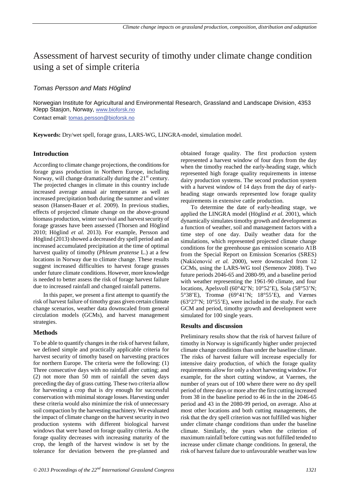# Assessment of harvest security of timothy under climate change condition using a set of simple criteria

# *Tomas Persson and Mats Höglind*

Norwegian Institute for Agricultural and Environmental Research, Grassland and Landscape Division, 4353 Klepp Stasjon, Norway, www.bioforsk.no Contact email: **tomas.persson@bioforsk.no** 

**Keywords:** Dry/wet spell, forage grass, LARS-WG, LINGRA-model, simulation model.

## **Introduction**

According to climate change projections, the conditions for forage grass production in Northern Europe, including Norway, will change dramatically during the  $21<sup>st</sup>$  century. The projected changes in climate in this country include increased average annual air temperature as well as increased precipitation both during the summer and winter season (Hansen-Bauer *et al.* 2009). In previous studies, effects of projected climate change on the above-ground biomass production, winter survival and harvest security of forage grasses have been assessed (Thorsen and Höglind 2010; Höglind *et al.* 2013). For example, Persson and Höglind (2013) showed a decreased dry spell period and an increased accumulated precipitation at the time of optimal harvest quality of timothy (*Phleum pratense* L.) at a few locations in Norway due to climate change. These results suggest increased difficulties to harvest forage grasses under future climate conditions. However, more knowledge is needed to better assess the risk of forage harvest failure due to increased rainfall and changed rainfall patterns.

In this paper, we present a first attempt to quantify the risk of harvest failure of timothy grass given certain climate change scenarios, weather data downscaled from general circulation models (GCMs), and harvest management strategies.

## **Methods**

To be able to quantify changes in the risk of harvest failure, we defined simple and practically applicable criteria for harvest security of timothy based on harvesting practices for northern Europe. The criteria were the following: (1) Three consecutive days with no rainfall after cutting; and (2) not more than 50 mm of rainfall the seven days preceding the day of grass cutting. These two criteria allow for harvesting a crop that is dry enough for successful conservation with minimal storage losses. Harvesting under these criteria would also minimize the risk of unnecessary soil compaction by the harvesting machinery. We evaluated the impact of climate change on the harvest security in two production systems with different biological harvest windows that were based on forage quality criteria. As the forage quality decreases with increasing maturity of the crop, the length of the harvest window is set by the tolerance for deviation between the pre-planned and

obtained forage quality. The first production system represented a harvest window of four days from the day when the timothy reached the early-heading stage, which represented high forage quality requirements in intense dairy production systems. The second production system with a harvest window of 14 days from the day of earlyheading stage onwards represented low forage quality requirements in extensive cattle production.

To determine the date of early-heading stage, we applied the LINGRA model (Höglind *et al.* 2001), which dynamically simulates timothy growth and development as a function of weather, soil and management factors with a time step of one day. Daily weather data for the simulations, which represented projected climate change conditions for the greenhouse gas emission scenario A1B from the Special Report on Emission Scenarios (SRES) (Nakićenović *et al.* 2000), were downscaled from 12 GCMs, using the LARS-WG tool (Semenov 2008). Two future periods 2046-65 and 2080-99, and a baseline period with weather representing the 1961-90 climate, and four locations, Apelsvoll (60°42'N; 10°52'E), Sola (58°53'N; 5°38'E), Tromsø (69°41'N; 18°55'E), and Værnes (63°27'N; 10°55'E), were included in the study. For each GCM and period, timothy growth and development were simulated for 100 single years.

#### **Results and discussion**

Preliminary results show that the risk of harvest failure of timothy in Norway is significantly higher under projected climate change conditions than under the baseline climate. The risks of harvest failure will increase especially for intensive dairy production, of which the forage quality requirements allow for only a short harvesting window. For example, for the short cutting window, at Vaernes, the number of years out of 100 where there were no dry spell period of three days or more after the first cutting increased from 38 in the baseline period to 46 in the in the  $2046-65$ period and 43 in the 2080-99 period, on average. Also at most other locations and both cutting managements, the risk that the dry spell criterion was not fulfilled was higher under climate change conditions than under the baseline climate. Similarly, the years when the criterion of maximum rainfall before cutting was not fulfilled tended to increase under climate change conditions. In general, the risk of harvest failure due to unfavourable weather was low